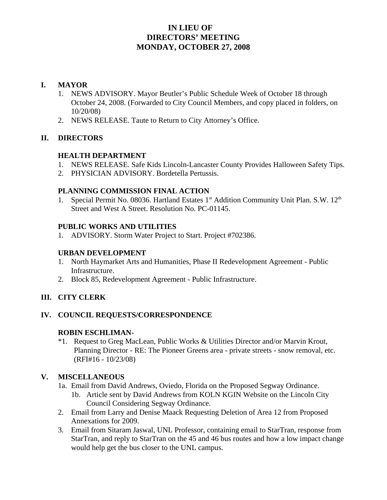# **IN LIEU OF DIRECTORS' MEETING MONDAY, OCTOBER 27, 2008**

#### **I. MAYOR**

- 1. NEWS ADVISORY. Mayor Beutler's Public Schedule Week of October 18 through October 24, 2008. (Forwarded to City Council Members, and copy placed in folders, on 10/20/08)
- 2. NEWS RELEASE. Taute to Return to City Attorney's Office.

### **II. DIRECTORS**

### **HEALTH DEPARTMENT**

- 1. NEWS RELEASE. Safe Kids Lincoln-Lancaster County Provides Halloween Safety Tips.
- 2. PHYSICIAN ADVISORY. Bordetella Pertussis.

#### **PLANNING COMMISSION FINAL ACTION**

1. Special Permit No. 08036. Hartland Estates 1<sup>st</sup> Addition Community Unit Plan. S.W. 12<sup>th</sup> Street and West A Street. Resolution No. PC-01145.

#### **PUBLIC WORKS AND UTILITIES**

1. ADVISORY. Storm Water Project to Start. Project #702386.

#### **URBAN DEVELOPMENT**

- 1. North Haymarket Arts and Humanities, Phase II Redevelopment Agreement Public Infrastructure.
- 2. Block 85, Redevelopment Agreement Public Infrastructure.

## **III. CITY CLERK**

## **IV. COUNCIL REQUESTS/CORRESPONDENCE**

#### **ROBIN ESCHLIMAN-**

\*1. Request to Greg MacLean, Public Works & Utilities Director and/or Marvin Krout, Planning Director - RE: The Pioneer Greens area - private streets - snow removal, etc. (RFI#16 - 10/23/08)

## **V. MISCELLANEOUS**

- 1a. Email from David Andrews, Oviedo, Florida on the Proposed Segway Ordinance.
	- 1b. Article sent by David Andrews from KOLN KGIN Website on the Lincoln City Council Considering Segway Ordinance.
- 2. Email from Larry and Denise Maack Requesting Deletion of Area 12 from Proposed Annexations for 2009.
- 3. Email from Sitaram Jaswal, UNL Professor, containing email to StarTran, response from StarTran, and reply to StarTran on the 45 and 46 bus routes and how a low impact change would help get the bus closer to the UNL campus.